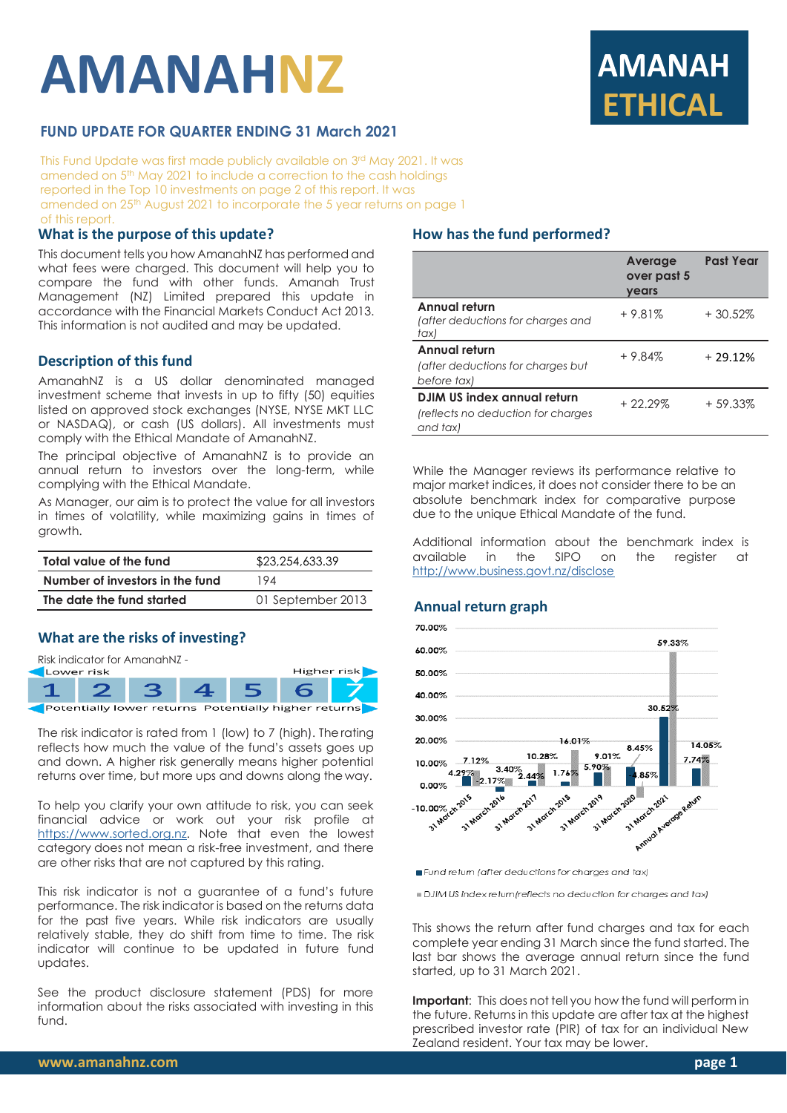# **AMANAHNZ**



# **FUND UPDATE FOR QUARTER ENDING 31 March 2021**

This Fund Update was first made publicly available on 3 rd May 2021. It was amended on 5 th May 2021 to include a correction to the cash holdings reported in the Top 10 investments on page 2 of this report. It was amended on 25th August 2021 to incorporate the 5 year returns on page 1 of this report.

## **What is the purpose of this update?**

This document tells you how AmanahNZ has performed and what fees were charged. This document will help you to compare the fund with other funds. Amanah Trust Management (NZ) Limited prepared this update in accordance with the Financial Markets Conduct Act 2013. This information is not audited and may be updated.

#### **Description of this fund**

AmanahNZ is a US dollar denominated managed investment scheme that invests in up to fifty (50) equities listed on approved stock exchanges (NYSE, NYSE MKT LLC or NASDAQ), or cash (US dollars). All investments must comply with the Ethical Mandate of AmanahNZ.

The principal objective of AmanahNZ is to provide an annual return to investors over the long-term, while complying with the Ethical Mandate.

As Manager, our aim is to protect the value for all investors in times of volatility, while maximizing gains in times of growth.

| Total value of the fund         | \$23,254,633.39   |  |  |
|---------------------------------|-------------------|--|--|
| Number of investors in the fund | 194               |  |  |
| The date the fund started       | 01 September 2013 |  |  |

## **What are the risks of investing?**

Risk indicator for AmanahNZ -



The risk indicator is rated from 1 (low) to 7 (high). Therating reflects how much the value of the fund's assets goes up and down. A higher risk generally means higher potential returns over time, but more ups and downs along the way.

To help you clarify your own attitude to risk, you can seek financial advice or work out your risk profile at [https://www.sorted.org.nz.](https://www.sorted.org.nz/guides/kiwisaver-which-fund-suits) Note that even the lowest category does not mean a risk-free investment, and there are other risks that are not captured by this rating.

This risk indicator is not a guarantee of a fund's future performance. The risk indicator is based on the returns data for the past five years. While risk indicators are usually relatively stable, they do shift from time to time. The risk indicator will continue to be updated in future fund updates.

See the product disclosure statement (PDS) for more information about the risks associated with investing in this fund.

## **How has the fund performed?**

|                                                                                      | Average<br>over past 5<br>years | <b>Past Year</b> |
|--------------------------------------------------------------------------------------|---------------------------------|------------------|
| Annual return<br>(after deductions for charges and<br>tax)                           | $+9.81%$                        | $+30.52\%$       |
| Annual return<br>(after deductions for charges but<br>before tax)                    | $+9.84%$                        | $+29.12%$        |
| <b>DJIM US index annual return</b><br>(reflects no deduction for charges<br>and tax) | $+22.29\%$                      | $+59.33%$        |

While the Manager reviews its performance relative to major market indices, it does not consider there to be an absolute benchmark index for comparative purpose due to the unique Ethical Mandate of the fund.

Additional information about the benchmark index is<br>available in the SIPO on the reaister at available in the SIPO on the register at <http://www.business.govt.nz/disclose>

#### **Annual return graph**



Fund return (after deductions for charges and tax)

DJIM US index return (reflects no deduction for charges and tax)

This shows the return after fund charges and tax for each complete year ending 31 March since the fund started. The last bar shows the average annual return since the fund started, up to 31 March 2021.

**Important**: This does not tell you how the fund will perform in the future. Returns in this update are after tax at the highest prescribed investor rate (PIR) of tax for an individual New Zealand resident. Your tax may be lower.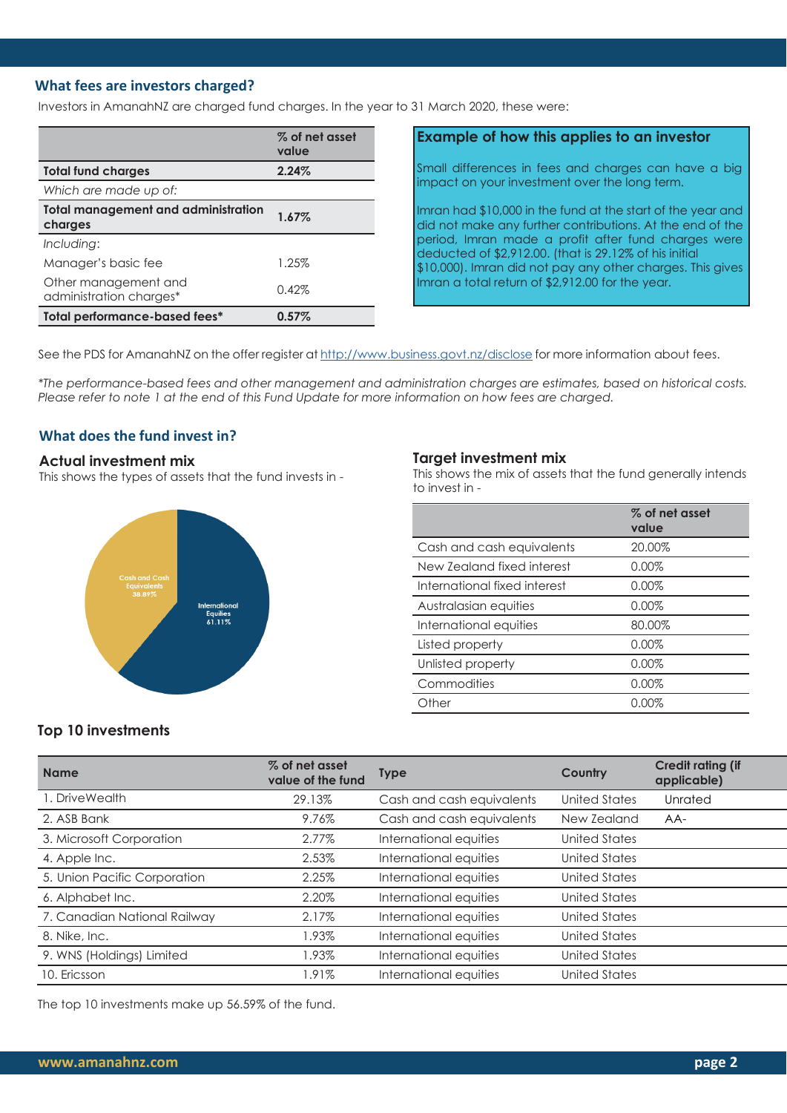# **What fees are investors charged?**

Investors in AmanahNZ are charged fund charges. In the year to 31 March 2020, these were:

|                                                       | % of net asset<br>value |
|-------------------------------------------------------|-------------------------|
| <b>Total fund charges</b>                             | 2.24%                   |
| Which are made up of:                                 |                         |
| <b>Total management and administration</b><br>charges | 1.67%                   |
| Including:                                            |                         |
| Manager's basic fee                                   | 1.25%                   |
| Other management and<br>administration charges*       | 0.42%                   |
| Total performance-based fees*                         | $0.57\%$                |

# **Example of how this applies to an investor**

Small differences in fees and charges can have a big impact on your investment over the long term.

Imran had \$10,000 in the fund at the start of the year and did not make any further contributions. At the end of the period, Imran made a profit after fund charges were deducted of \$2,912.00. (that is 29.12% of his initial \$10,000). Imran did not pay any other charges. This gives Imran a total return of \$2,912.00 for the year.

See the PDS for AmanahNZ on the offer register at <http://www.business.govt.nz/disclose> for more information about fees.

*\*The performance-based fees and other management and administration charges are estimates, based on historical costs. Please refer to note 1 at the end of this Fund Update for more information on how fees are charged.*

## **What does the fund invest in?**

#### **Actual investment mix**

This shows the types of assets that the fund invests in -



#### **Target investment mix**

This shows the mix of assets that the fund generally intends to invest in -

|                              | % of net asset<br>value |
|------------------------------|-------------------------|
| Cash and cash equivalents    | 20.00%                  |
| New Zealand fixed interest   | 0.00%                   |
| International fixed interest | 0.00%                   |
| Australasian equities        | 0.00%                   |
| International equities       | 80.00%                  |
| Listed property              | 0.00%                   |
| Unlisted property            | 0.00%                   |
| Commodities                  | 0.00%                   |
| Other                        | $0.00\%$                |

## **Top 10 investments**

| <b>Name</b>                  | % of net asset<br>value of the fund | <b>Type</b>               | Country              | <b>Credit rating (if</b><br>applicable) |
|------------------------------|-------------------------------------|---------------------------|----------------------|-----------------------------------------|
| 1. DriveWealth               | 29.13%                              | Cash and cash equivalents | United States        | Unrated                                 |
| 2. ASB Bank                  | 9.76%                               | Cash and cash equivalents | New Zealand          | $AA-$                                   |
| 3. Microsoft Corporation     | 2.77%                               | International equities    | United States        |                                         |
| 4. Apple Inc.                | 2.53%                               | International equities    | United States        |                                         |
| 5. Union Pacific Corporation | 2.25%                               | International equities    | United States        |                                         |
| 6. Alphabet Inc.             | 2.20%                               | International equities    | United States        |                                         |
| 7. Canadian National Railway | 2.17%                               | International equities    | <b>United States</b> |                                         |
| 8. Nike, Inc.                | 1.93%                               | International equities    | <b>United States</b> |                                         |
| 9. WNS (Holdings) Limited    | 1.93%                               | International equities    | <b>United States</b> |                                         |
| 10. Ericsson                 | 1.91%                               | International equities    | <b>United States</b> |                                         |

The top 10 investments make up 56.59% of the fund.